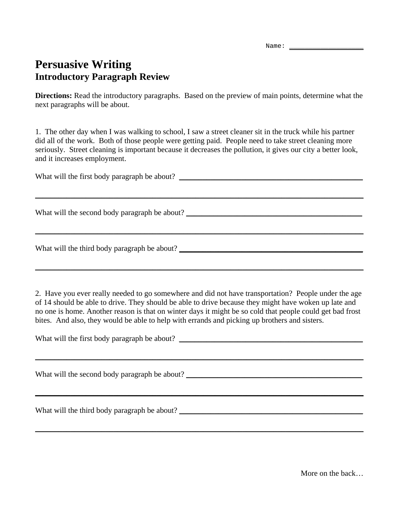Name:

## **Persuasive Writing Introductory Paragraph Review**

**Directions:** Read the introductory paragraphs. Based on the preview of main points, determine what the next paragraphs will be about.

1. The other day when I was walking to school, I saw a street cleaner sit in the truck while his partner did all of the work. Both of those people were getting paid. People need to take street cleaning more seriously. Street cleaning is important because it decreases the pollution, it gives our city a better look, and it increases employment.

What will the first body paragraph be about? \_\_\_\_\_\_\_\_\_\_\_\_\_\_\_\_\_\_\_\_\_\_\_\_\_\_\_\_\_\_\_\_\_\_\_\_\_\_\_\_\_\_\_\_\_\_\_

\_\_\_\_\_\_\_\_\_\_\_\_\_\_\_\_\_\_\_\_\_\_\_\_\_\_\_\_\_\_\_\_\_\_\_\_\_\_\_\_\_\_\_\_\_\_\_\_\_\_\_\_\_\_\_\_\_\_\_\_\_\_\_\_\_\_\_\_\_\_\_\_\_\_\_\_\_\_\_\_\_\_\_\_

 $\_$  , and the set of the set of the set of the set of the set of the set of the set of the set of the set of the set of the set of the set of the set of the set of the set of the set of the set of the set of the set of th

 $\_$  , and the set of the set of the set of the set of the set of the set of the set of the set of the set of the set of the set of the set of the set of the set of the set of the set of the set of the set of the set of th

What will the second body paragraph be about?

What will the third body paragraph be about?

2. Have you ever really needed to go somewhere and did not have transportation? People under the age of 14 should be able to drive. They should be able to drive because they might have woken up late and no one is home. Another reason is that on winter days it might be so cold that people could get bad frost bites. And also, they would be able to help with errands and picking up brothers and sisters.

| What will the first body paragraph be about? |  |
|----------------------------------------------|--|
|----------------------------------------------|--|

\_\_\_\_\_\_\_\_\_\_\_\_\_\_\_\_\_\_\_\_\_\_\_\_\_\_\_\_\_\_\_\_\_\_\_\_\_\_\_\_\_\_\_\_\_\_\_\_\_\_\_\_\_\_\_\_\_\_\_\_\_\_\_\_\_\_\_\_\_\_\_\_\_\_\_\_\_\_\_\_\_\_\_\_

\_\_\_\_\_\_\_\_\_\_\_\_\_\_\_\_\_\_\_\_\_\_\_\_\_\_\_\_\_\_\_\_\_\_\_\_\_\_\_\_\_\_\_\_\_\_\_\_\_\_\_\_\_\_\_\_\_\_\_\_\_\_\_\_\_\_\_\_\_\_\_\_\_\_\_\_\_\_\_\_\_\_\_\_

 $\_$  , and the set of the set of the set of the set of the set of the set of the set of the set of the set of the set of the set of the set of the set of the set of the set of the set of the set of the set of the set of th

What will the second body paragraph be about?

What will the third body paragraph be about? \_\_\_\_\_\_\_\_\_\_\_\_\_\_\_\_\_\_\_\_\_\_\_\_\_\_\_\_\_\_\_\_\_\_\_\_\_\_\_\_\_\_\_\_\_\_\_

More on the back…